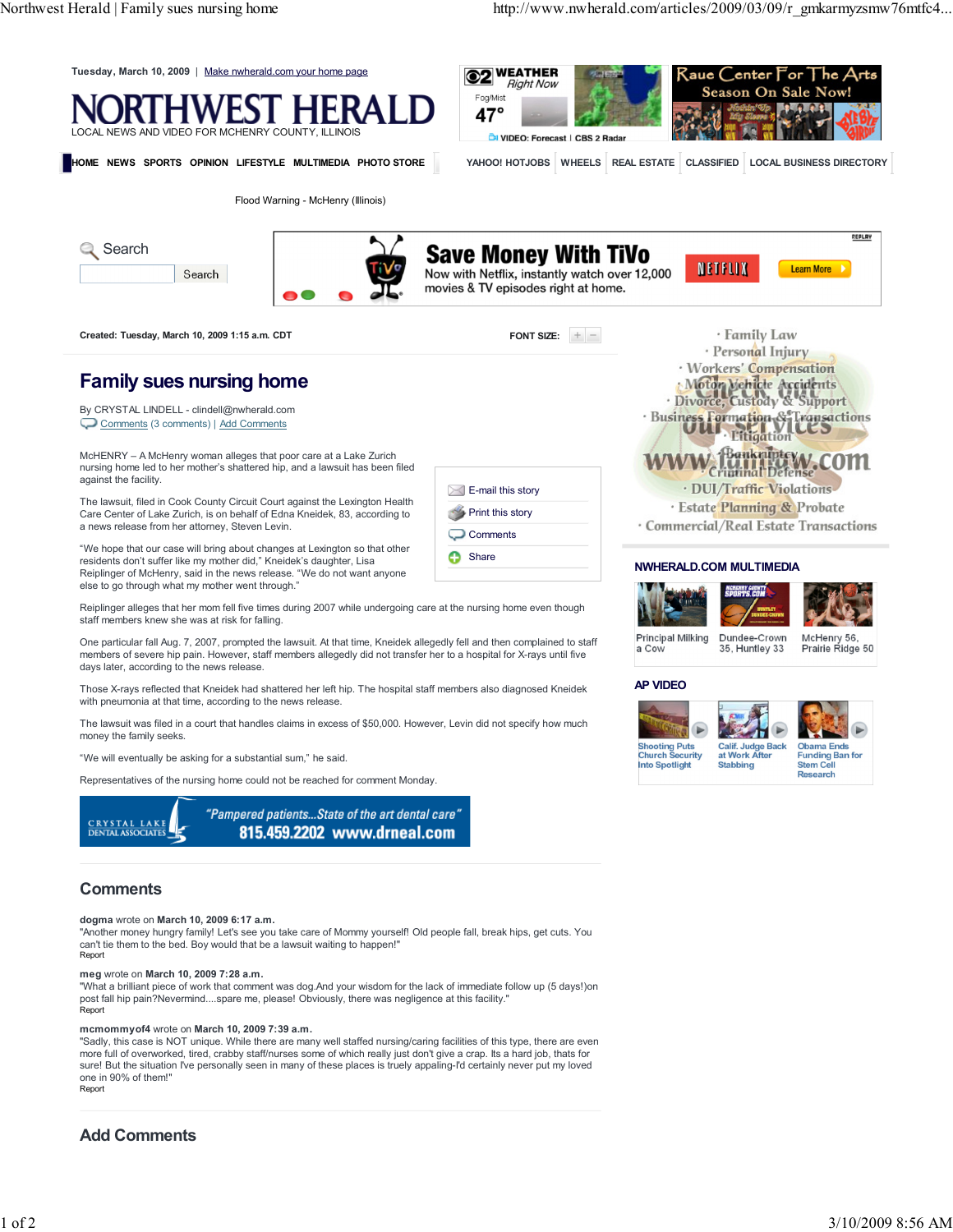